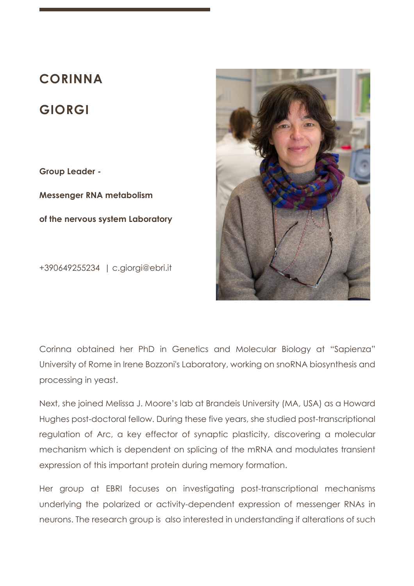# **CORINNA**

# **GIORGI**

**Group Leader -**

**Messenger RNA metabolism of the nervous system Laboratory**

+390649255234 | c.giorgi@ebri.it



Corinna obtained her PhD in Genetics and Molecular Biology at "Sapienza" University of Rome in Irene Bozzoni's Laboratory, working on snoRNA biosynthesis and processing in yeast.

Next, she joined Melissa J. Moore's lab at Brandeis University (MA, USA) as a Howard Hughes post-doctoral fellow. During these five years, she studied post-transcriptional regulation of Arc, a key effector of synaptic plasticity, discovering a molecular mechanism which is dependent on splicing of the mRNA and modulates transient expression of this important protein during memory formation.

Her group at EBRI focuses on investigating post-transcriptional mechanisms underlying the polarized or activity-dependent expression of messenger RNAs in neurons. The research group is also interested in understanding if alterations of such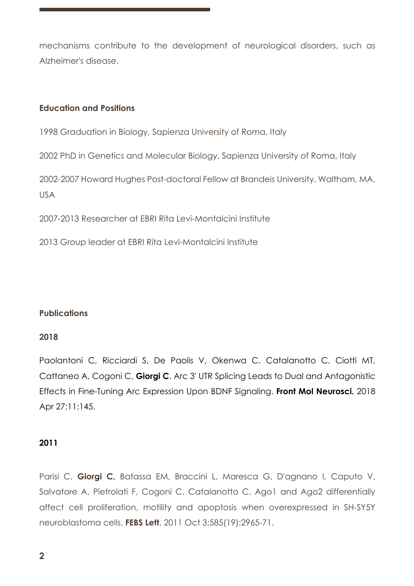mechanisms contribute to the development of neurological disorders, such as Alzheimer's disease.

## **Education and Positions**

1998 Graduation in Biology, Sapienza University of Roma, Italy

2002 PhD in Genetics and Molecular Biology, Sapienza University of Roma, Italy

2002-2007 Howard Hughes Post-doctoral Fellow at Brandeis University, Waltham, MA, USA

2007-2013 Researcher at EBRI Rita Levi-Montalcini Institute

2013 Group leader at EBRI Rita Levi-Montalcini Institute

### **Publications**

### **2018**

Paolantoni C, Ricciardi S, De Paolis V, Okenwa C, Catalanotto C, Ciotti MT, Cattaneo A, Cogoni C, **Giorgi C**. Arc 3' UTR Splicing Leads to Dual and Antagonistic Effects in Fine-Tuning Arc Expression Upon BDNF Signaling. **Front Mol Neurosci.** 2018 Apr 27;11:145.

#### **2011**

Parisi C, **Giorgi C,** Batassa EM, Braccini L, Maresca G, D'agnano I, Caputo V, Salvatore A, Pietrolati F, Cogoni C, Catalanotto C. Ago1 and Ago2 differentially affect cell proliferation, motility and apoptosis when overexpressed in SH-SY5Y neuroblastoma cells. **FEBS Lett**. 2011 Oct 3;585(19):2965-71.